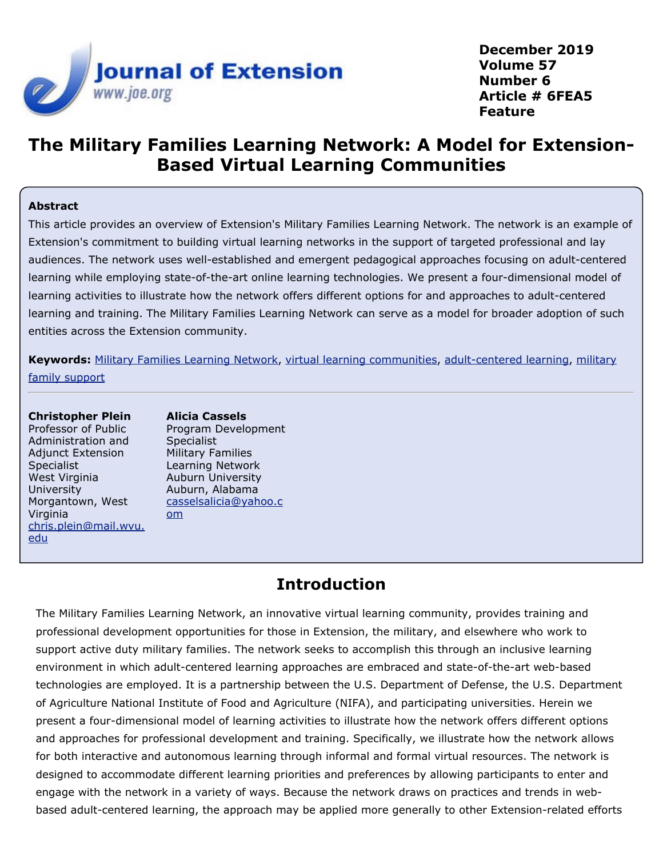

**December 2019 Volume 57 Number 6 Article # 6FEA5 Feature**

# **The Military Families Learning Network: A Model for Extension-Based Virtual Learning Communities**

#### **Abstract**

This article provides an overview of Extension's Military Families Learning Network. The network is an example of Extension's commitment to building virtual learning networks in the support of targeted professional and lay audiences. The network uses well-established and emergent pedagogical approaches focusing on adult-centered learning while employing state-of-the-art online learning technologies. We present a four-dimensional model of learning activities to illustrate how the network offers different options for and approaches to adult-centered learning and training. The Military Families Learning Network can serve as a model for broader adoption of such entities across the Extension community.

**Keywords:** [Military Families Learning Network](https://joe.org/search-results.php?cx=010816128502272931564%3Aopgn_voyplk&cof=FORID%3A10&ie=UTF-8&q=Military Families Learning Network&sa=Search+JOE#1039\), [virtual learning communities](https://joe.org/search-results.php?cx=010816128502272931564%3Aopgn_voyplk&cof=FORID%3A10&ie=UTF-8&q=virtual learning communities&sa=Search+JOE#1039\), [adult-centered learning](https://joe.org/search-results.php?cx=010816128502272931564%3Aopgn_voyplk&cof=FORID%3A10&ie=UTF-8&q=adult-centered learning&sa=Search+JOE#1039\), [military](https://joe.org/search-results.php?cx=010816128502272931564%3Aopgn_voyplk&cof=FORID%3A10&ie=UTF-8&q=military family support&sa=Search+JOE#1039) [family support](https://joe.org/search-results.php?cx=010816128502272931564%3Aopgn_voyplk&cof=FORID%3A10&ie=UTF-8&q=military family support&sa=Search+JOE#1039)

#### **Christopher Plein**

Professor of Public Administration and Adjunct Extension **Specialist** West Virginia **University** Morgantown, West Virginia [chris.plein@mail.wvu.](mailto:chris.plein@mail.wvu.edu) [edu](mailto:chris.plein@mail.wvu.edu)

**Alicia Cassels** Program Development Specialist Military Families Learning Network Auburn University Auburn, Alabama [casselsalicia@yahoo.c](mailto:casselsalicia@yahoo.com) [om](mailto:casselsalicia@yahoo.com)

# **Introduction**

The Military Families Learning Network, an innovative virtual learning community, provides training and professional development opportunities for those in Extension, the military, and elsewhere who work to support active duty military families. The network seeks to accomplish this through an inclusive learning environment in which adult-centered learning approaches are embraced and state-of-the-art web-based technologies are employed. It is a partnership between the U.S. Department of Defense, the U.S. Department of Agriculture National Institute of Food and Agriculture (NIFA), and participating universities. Herein we present a four-dimensional model of learning activities to illustrate how the network offers different options and approaches for professional development and training. Specifically, we illustrate how the network allows for both interactive and autonomous learning through informal and formal virtual resources. The network is designed to accommodate different learning priorities and preferences by allowing participants to enter and engage with the network in a variety of ways. Because the network draws on practices and trends in webbased adult-centered learning, the approach may be applied more generally to other Extension-related efforts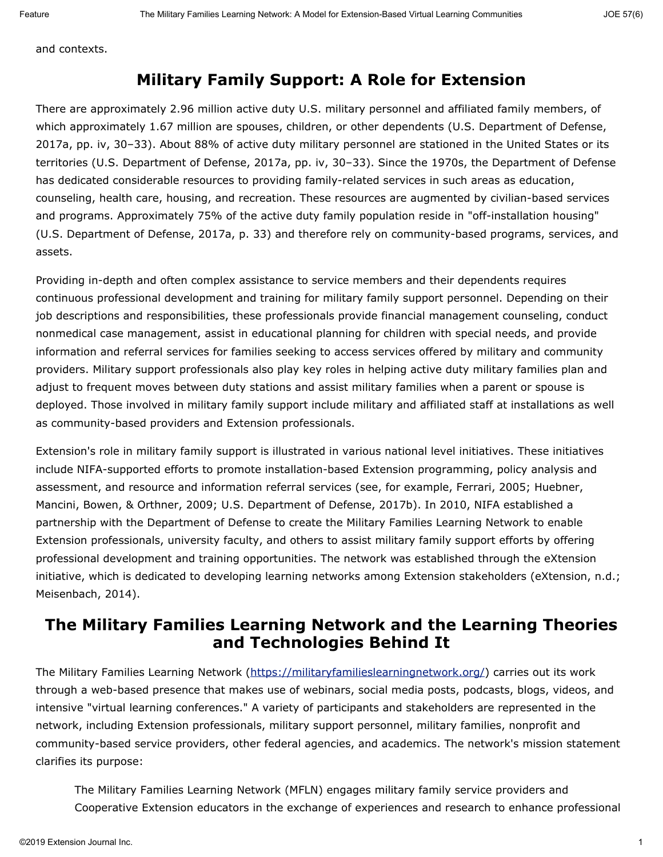and contexts.

# **Military Family Support: A Role for Extension**

There are approximately 2.96 million active duty U.S. military personnel and affiliated family members, of which approximately 1.67 million are spouses, children, or other dependents (U.S. Department of Defense, 2017a, pp. iv, 30–33). About 88% of active duty military personnel are stationed in the United States or its territories (U.S. Department of Defense, 2017a, pp. iv, 30–33). Since the 1970s, the Department of Defense has dedicated considerable resources to providing family-related services in such areas as education, counseling, health care, housing, and recreation. These resources are augmented by civilian-based services and programs. Approximately 75% of the active duty family population reside in "off-installation housing" (U.S. Department of Defense, 2017a, p. 33) and therefore rely on community-based programs, services, and assets.

Providing in-depth and often complex assistance to service members and their dependents requires continuous professional development and training for military family support personnel. Depending on their job descriptions and responsibilities, these professionals provide financial management counseling, conduct nonmedical case management, assist in educational planning for children with special needs, and provide information and referral services for families seeking to access services offered by military and community providers. Military support professionals also play key roles in helping active duty military families plan and adjust to frequent moves between duty stations and assist military families when a parent or spouse is deployed. Those involved in military family support include military and affiliated staff at installations as well as community-based providers and Extension professionals.

Extension's role in military family support is illustrated in various national level initiatives. These initiatives include NIFA-supported efforts to promote installation-based Extension programming, policy analysis and assessment, and resource and information referral services (see, for example, Ferrari, 2005; Huebner, Mancini, Bowen, & Orthner, 2009; U.S. Department of Defense, 2017b). In 2010, NIFA established a partnership with the Department of Defense to create the Military Families Learning Network to enable Extension professionals, university faculty, and others to assist military family support efforts by offering professional development and training opportunities. The network was established through the eXtension initiative, which is dedicated to developing learning networks among Extension stakeholders (eXtension, n.d.; Meisenbach, 2014).

# **The Military Families Learning Network and the Learning Theories and Technologies Behind It**

The Military Families Learning Network [\(https://militaryfamilieslearningnetwork.org/](https://militaryfamilieslearningnetwork.org/)) carries out its work through a web-based presence that makes use of webinars, social media posts, podcasts, blogs, videos, and intensive "virtual learning conferences." A variety of participants and stakeholders are represented in the network, including Extension professionals, military support personnel, military families, nonprofit and community-based service providers, other federal agencies, and academics. The network's mission statement clarifies its purpose:

The Military Families Learning Network (MFLN) engages military family service providers and Cooperative Extension educators in the exchange of experiences and research to enhance professional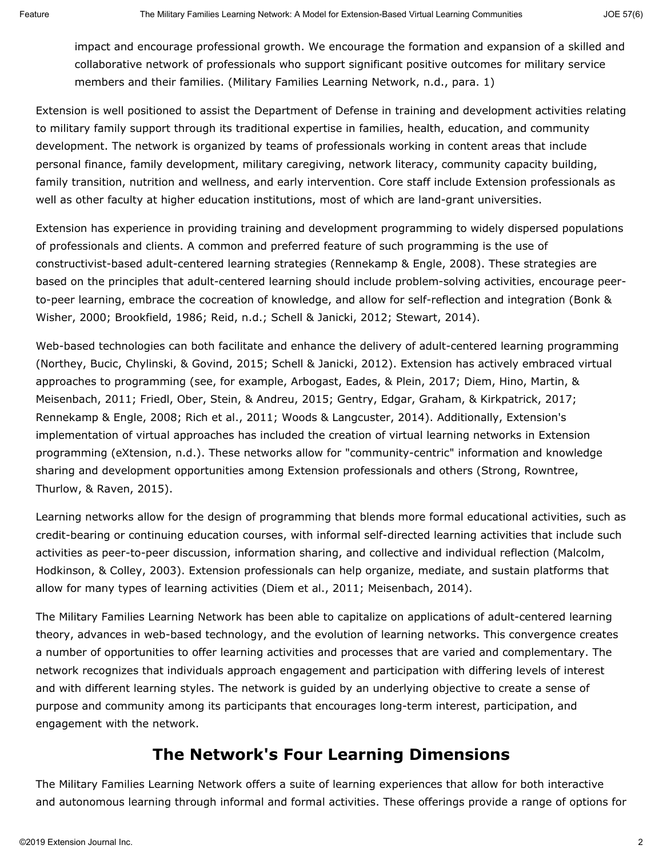impact and encourage professional growth. We encourage the formation and expansion of a skilled and collaborative network of professionals who support significant positive outcomes for military service members and their families. (Military Families Learning Network, n.d., para. 1)

Extension is well positioned to assist the Department of Defense in training and development activities relating to military family support through its traditional expertise in families, health, education, and community development. The network is organized by teams of professionals working in content areas that include personal finance, family development, military caregiving, network literacy, community capacity building, family transition, nutrition and wellness, and early intervention. Core staff include Extension professionals as well as other faculty at higher education institutions, most of which are land-grant universities.

Extension has experience in providing training and development programming to widely dispersed populations of professionals and clients. A common and preferred feature of such programming is the use of constructivist-based adult-centered learning strategies (Rennekamp & Engle, 2008). These strategies are based on the principles that adult-centered learning should include problem-solving activities, encourage peerto-peer learning, embrace the cocreation of knowledge, and allow for self-reflection and integration (Bonk & Wisher, 2000; Brookfield, 1986; Reid, n.d.; Schell & Janicki, 2012; Stewart, 2014).

Web-based technologies can both facilitate and enhance the delivery of adult-centered learning programming (Northey, Bucic, Chylinski, & Govind, 2015; Schell & Janicki, 2012). Extension has actively embraced virtual approaches to programming (see, for example, Arbogast, Eades, & Plein, 2017; Diem, Hino, Martin, & Meisenbach, 2011; Friedl, Ober, Stein, & Andreu, 2015; Gentry, Edgar, Graham, & Kirkpatrick, 2017; Rennekamp & Engle, 2008; Rich et al., 2011; Woods & Langcuster, 2014). Additionally, Extension's implementation of virtual approaches has included the creation of virtual learning networks in Extension programming (eXtension, n.d.). These networks allow for "community-centric" information and knowledge sharing and development opportunities among Extension professionals and others (Strong, Rowntree, Thurlow, & Raven, 2015).

Learning networks allow for the design of programming that blends more formal educational activities, such as credit-bearing or continuing education courses, with informal self-directed learning activities that include such activities as peer-to-peer discussion, information sharing, and collective and individual reflection (Malcolm, Hodkinson, & Colley, 2003). Extension professionals can help organize, mediate, and sustain platforms that allow for many types of learning activities (Diem et al., 2011; Meisenbach, 2014).

The Military Families Learning Network has been able to capitalize on applications of adult-centered learning theory, advances in web-based technology, and the evolution of learning networks. This convergence creates a number of opportunities to offer learning activities and processes that are varied and complementary. The network recognizes that individuals approach engagement and participation with differing levels of interest and with different learning styles. The network is guided by an underlying objective to create a sense of purpose and community among its participants that encourages long-term interest, participation, and engagement with the network.

### **The Network's Four Learning Dimensions**

The Military Families Learning Network offers a suite of learning experiences that allow for both interactive and autonomous learning through informal and formal activities. These offerings provide a range of options for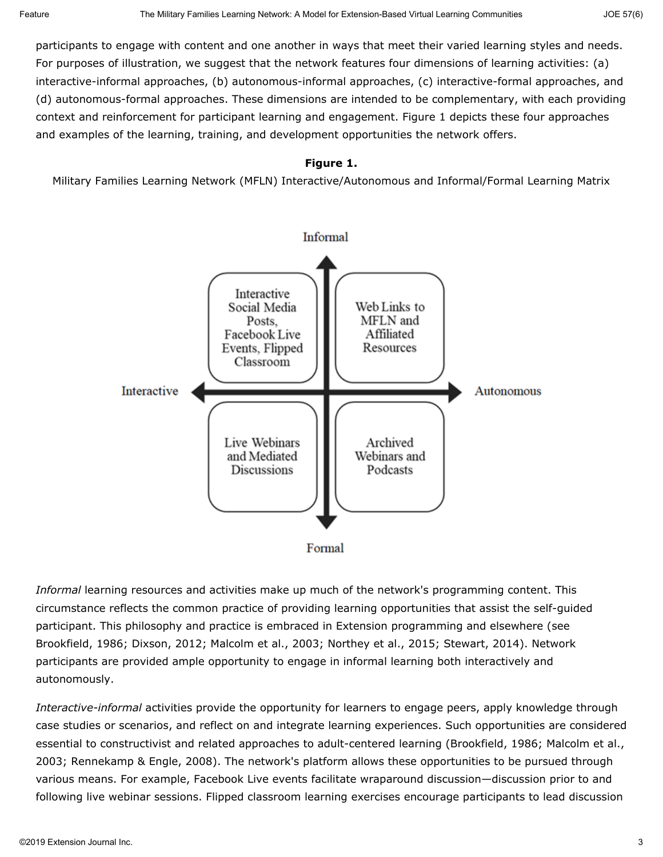participants to engage with content and one another in ways that meet their varied learning styles and needs. For purposes of illustration, we suggest that the network features four dimensions of learning activities: (a) interactive-informal approaches, (b) autonomous-informal approaches, (c) interactive-formal approaches, and (d) autonomous-formal approaches. These dimensions are intended to be complementary, with each providing context and reinforcement for participant learning and engagement. Figure 1 depicts these four approaches and examples of the learning, training, and development opportunities the network offers.

#### **Figure 1.**

Military Families Learning Network (MFLN) Interactive/Autonomous and Informal/Formal Learning Matrix



*Informal* learning resources and activities make up much of the network's programming content. This circumstance reflects the common practice of providing learning opportunities that assist the self-guided participant. This philosophy and practice is embraced in Extension programming and elsewhere (see Brookfield, 1986; Dixson, 2012; Malcolm et al., 2003; Northey et al., 2015; Stewart, 2014). Network participants are provided ample opportunity to engage in informal learning both interactively and autonomously.

*Interactive-informal* activities provide the opportunity for learners to engage peers, apply knowledge through case studies or scenarios, and reflect on and integrate learning experiences. Such opportunities are considered essential to constructivist and related approaches to adult-centered learning (Brookfield, 1986; Malcolm et al., 2003; Rennekamp & Engle, 2008). The network's platform allows these opportunities to be pursued through various means. For example, Facebook Live events facilitate wraparound discussion—discussion prior to and following live webinar sessions. Flipped classroom learning exercises encourage participants to lead discussion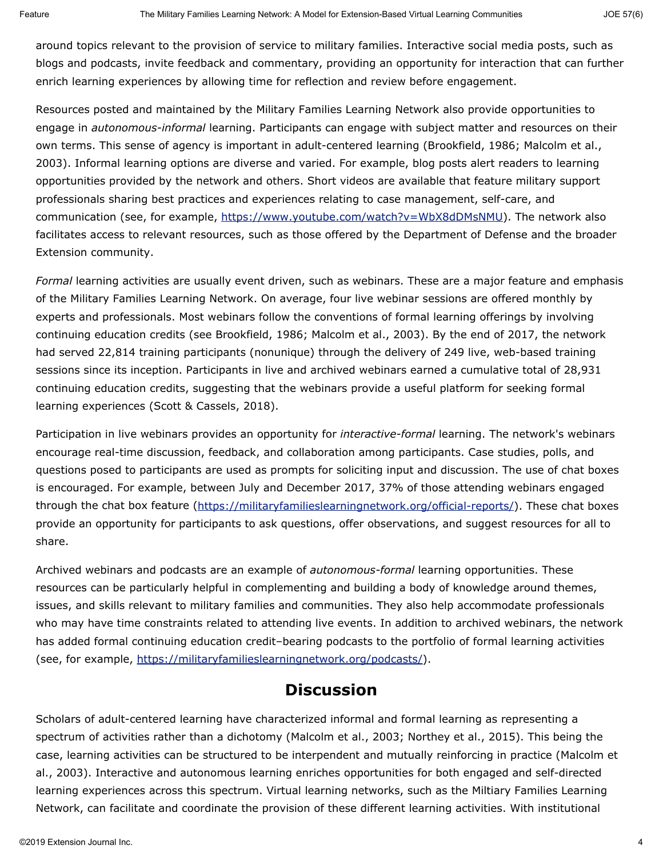around topics relevant to the provision of service to military families. Interactive social media posts, such as blogs and podcasts, invite feedback and commentary, providing an opportunity for interaction that can further enrich learning experiences by allowing time for reflection and review before engagement.

Resources posted and maintained by the Military Families Learning Network also provide opportunities to engage in *autonomous-informal* learning. Participants can engage with subject matter and resources on their own terms. This sense of agency is important in adult-centered learning (Brookfield, 1986; Malcolm et al., 2003). Informal learning options are diverse and varied. For example, blog posts alert readers to learning opportunities provided by the network and others. Short videos are available that feature military support professionals sharing best practices and experiences relating to case management, self-care, and communication (see, for example,<https://www.youtube.com/watch?v=WbX8dDMsNMU>). The network also facilitates access to relevant resources, such as those offered by the Department of Defense and the broader Extension community.

*Formal* learning activities are usually event driven, such as webinars. These are a major feature and emphasis of the Military Families Learning Network. On average, four live webinar sessions are offered monthly by experts and professionals. Most webinars follow the conventions of formal learning offerings by involving continuing education credits (see Brookfield, 1986; Malcolm et al., 2003). By the end of 2017, the network had served 22,814 training participants (nonunique) through the delivery of 249 live, web-based training sessions since its inception. Participants in live and archived webinars earned a cumulative total of 28,931 continuing education credits, suggesting that the webinars provide a useful platform for seeking formal learning experiences (Scott & Cassels, 2018).

Participation in live webinars provides an opportunity for *interactive-formal* learning. The network's webinars encourage real-time discussion, feedback, and collaboration among participants. Case studies, polls, and questions posed to participants are used as prompts for soliciting input and discussion. The use of chat boxes is encouraged. For example, between July and December 2017, 37% of those attending webinars engaged through the chat box feature [\(https://militaryfamilieslearningnetwork.org/official-reports/](https://militaryfamilieslearningnetwork.org/official-reports/)). These chat boxes provide an opportunity for participants to ask questions, offer observations, and suggest resources for all to share.

Archived webinars and podcasts are an example of *autonomous-formal* learning opportunities. These resources can be particularly helpful in complementing and building a body of knowledge around themes, issues, and skills relevant to military families and communities. They also help accommodate professionals who may have time constraints related to attending live events. In addition to archived webinars, the network has added formal continuing education credit–bearing podcasts to the portfolio of formal learning activities (see, for example,<https://militaryfamilieslearningnetwork.org/podcasts/>).

### **Discussion**

Scholars of adult-centered learning have characterized informal and formal learning as representing a spectrum of activities rather than a dichotomy (Malcolm et al., 2003; Northey et al., 2015). This being the case, learning activities can be structured to be interpendent and mutually reinforcing in practice (Malcolm et al., 2003). Interactive and autonomous learning enriches opportunities for both engaged and self-directed learning experiences across this spectrum. Virtual learning networks, such as the Miltiary Families Learning Network, can facilitate and coordinate the provision of these different learning activities. With institutional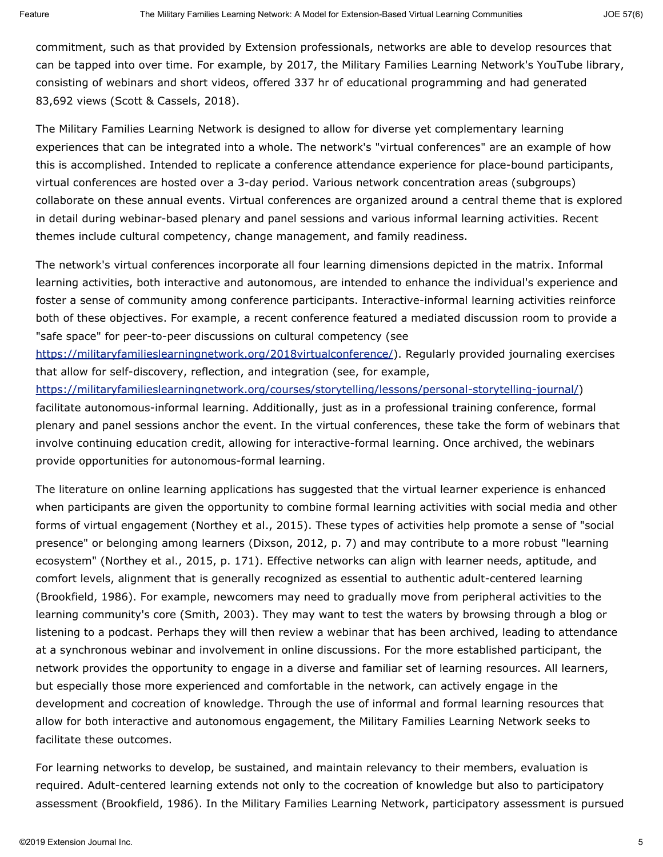commitment, such as that provided by Extension professionals, networks are able to develop resources that can be tapped into over time. For example, by 2017, the Military Families Learning Network's YouTube library, consisting of webinars and short videos, offered 337 hr of educational programming and had generated 83,692 views (Scott & Cassels, 2018).

The Military Families Learning Network is designed to allow for diverse yet complementary learning experiences that can be integrated into a whole. The network's "virtual conferences" are an example of how this is accomplished. Intended to replicate a conference attendance experience for place-bound participants, virtual conferences are hosted over a 3-day period. Various network concentration areas (subgroups) collaborate on these annual events. Virtual conferences are organized around a central theme that is explored in detail during webinar-based plenary and panel sessions and various informal learning activities. Recent themes include cultural competency, change management, and family readiness.

The network's virtual conferences incorporate all four learning dimensions depicted in the matrix. Informal learning activities, both interactive and autonomous, are intended to enhance the individual's experience and foster a sense of community among conference participants. Interactive-informal learning activities reinforce both of these objectives. For example, a recent conference featured a mediated discussion room to provide a "safe space" for peer-to-peer discussions on cultural competency (see

<https://militaryfamilieslearningnetwork.org/2018virtualconference/>). Regularly provided journaling exercises that allow for self-discovery, reflection, and integration (see, for example,

<https://militaryfamilieslearningnetwork.org/courses/storytelling/lessons/personal-storytelling-journal/>) facilitate autonomous-informal learning. Additionally, just as in a professional training conference, formal plenary and panel sessions anchor the event. In the virtual conferences, these take the form of webinars that involve continuing education credit, allowing for interactive-formal learning. Once archived, the webinars provide opportunities for autonomous-formal learning.

The literature on online learning applications has suggested that the virtual learner experience is enhanced when participants are given the opportunity to combine formal learning activities with social media and other forms of virtual engagement (Northey et al., 2015). These types of activities help promote a sense of "social presence" or belonging among learners (Dixson, 2012, p. 7) and may contribute to a more robust "learning ecosystem" (Northey et al., 2015, p. 171). Effective networks can align with learner needs, aptitude, and comfort levels, alignment that is generally recognized as essential to authentic adult-centered learning (Brookfield, 1986). For example, newcomers may need to gradually move from peripheral activities to the learning community's core (Smith, 2003). They may want to test the waters by browsing through a blog or listening to a podcast. Perhaps they will then review a webinar that has been archived, leading to attendance at a synchronous webinar and involvement in online discussions. For the more established participant, the network provides the opportunity to engage in a diverse and familiar set of learning resources. All learners, but especially those more experienced and comfortable in the network, can actively engage in the development and cocreation of knowledge. Through the use of informal and formal learning resources that allow for both interactive and autonomous engagement, the Military Families Learning Network seeks to facilitate these outcomes.

For learning networks to develop, be sustained, and maintain relevancy to their members, evaluation is required. Adult-centered learning extends not only to the cocreation of knowledge but also to participatory assessment (Brookfield, 1986). In the Military Families Learning Network, participatory assessment is pursued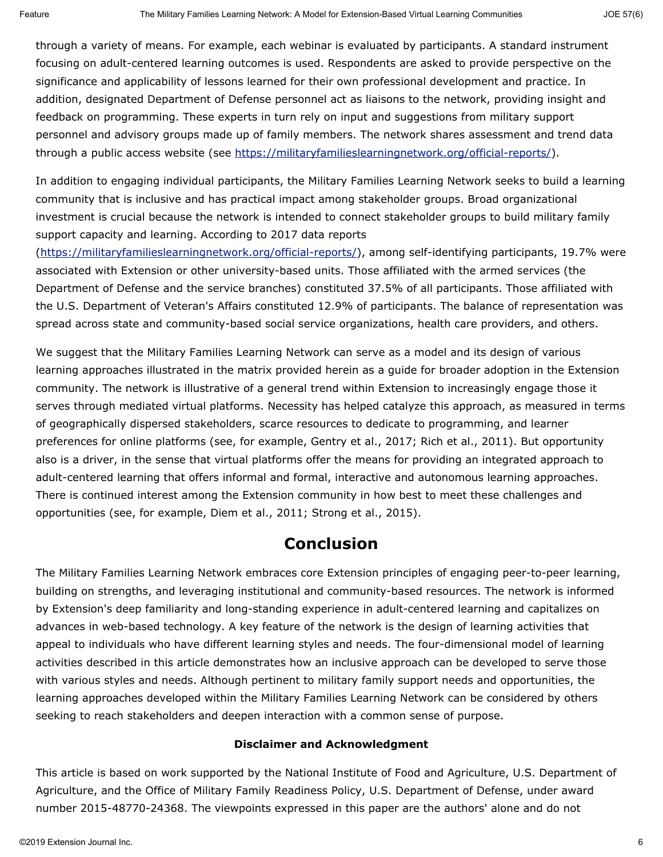through a variety of means. For example, each webinar is evaluated by participants. A standard instrument focusing on adult-centered learning outcomes is used. Respondents are asked to provide perspective on the significance and applicability of lessons learned for their own professional development and practice. In addition, designated Department of Defense personnel act as liaisons to the network, providing insight and feedback on programming. These experts in turn rely on input and suggestions from military support personnel and advisory groups made up of family members. The network shares assessment and trend data through a public access website (see<https://militaryfamilieslearningnetwork.org/official-reports/>).

In addition to engaging individual participants, the Military Families Learning Network seeks to build a learning community that is inclusive and has practical impact among stakeholder groups. Broad organizational investment is crucial because the network is intended to connect stakeholder groups to build military family support capacity and learning. According to 2017 data reports

[\(https://militaryfamilieslearningnetwork.org/official-reports/](https://militaryfamilieslearningnetwork.org/official-reports/)), among self-identifying participants, 19.7% were associated with Extension or other university-based units. Those affiliated with the armed services (the Department of Defense and the service branches) constituted 37.5% of all participants. Those affiliated with the U.S. Department of Veteran's Affairs constituted 12.9% of participants. The balance of representation was spread across state and community-based social service organizations, health care providers, and others.

We suggest that the Military Families Learning Network can serve as a model and its design of various learning approaches illustrated in the matrix provided herein as a guide for broader adoption in the Extension community. The network is illustrative of a general trend within Extension to increasingly engage those it serves through mediated virtual platforms. Necessity has helped catalyze this approach, as measured in terms of geographically dispersed stakeholders, scarce resources to dedicate to programming, and learner preferences for online platforms (see, for example, Gentry et al., 2017; Rich et al., 2011). But opportunity also is a driver, in the sense that virtual platforms offer the means for providing an integrated approach to adult-centered learning that offers informal and formal, interactive and autonomous learning approaches. There is continued interest among the Extension community in how best to meet these challenges and opportunities (see, for example, Diem et al., 2011; Strong et al., 2015).

### **Conclusion**

The Military Families Learning Network embraces core Extension principles of engaging peer-to-peer learning, building on strengths, and leveraging institutional and community-based resources. The network is informed by Extension's deep familiarity and long-standing experience in adult-centered learning and capitalizes on advances in web-based technology. A key feature of the network is the design of learning activities that appeal to individuals who have different learning styles and needs. The four-dimensional model of learning activities described in this article demonstrates how an inclusive approach can be developed to serve those with various styles and needs. Although pertinent to military family support needs and opportunities, the learning approaches developed within the Military Families Learning Network can be considered by others seeking to reach stakeholders and deepen interaction with a common sense of purpose.

### **Disclaimer and Acknowledgment**

This article is based on work supported by the National Institute of Food and Agriculture, U.S. Department of Agriculture, and the Office of Military Family Readiness Policy, U.S. Department of Defense, under award number 2015-48770-24368. The viewpoints expressed in this paper are the authors' alone and do not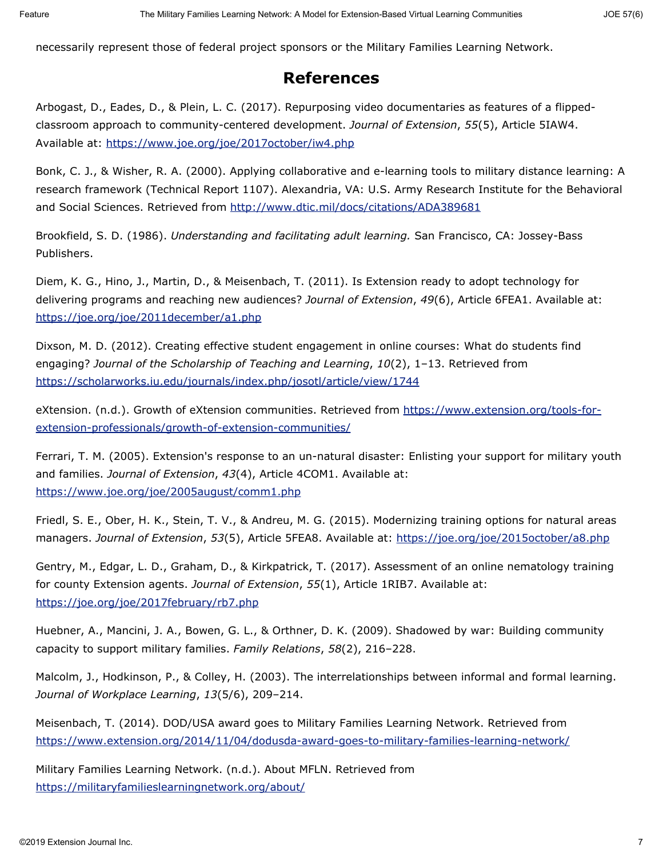necessarily represent those of federal project sponsors or the Military Families Learning Network.

# **References**

Arbogast, D., Eades, D., & Plein, L. C. (2017). Repurposing video documentaries as features of a flippedclassroom approach to community-centered development. *Journal of Extension*, *55*(5), Article 5IAW4. Available at:<https://www.joe.org/joe/2017october/iw4.php>

Bonk, C. J., & Wisher, R. A. (2000). Applying collaborative and e-learning tools to military distance learning: A research framework (Technical Report 1107). Alexandria, VA: U.S. Army Research Institute for the Behavioral and Social Sciences. Retrieved from<http://www.dtic.mil/docs/citations/ADA389681>

Brookfield, S. D. (1986). *Understanding and facilitating adult learning.* San Francisco, CA: Jossey-Bass Publishers.

Diem, K. G., Hino, J., Martin, D., & Meisenbach, T. (2011). Is Extension ready to adopt technology for delivering programs and reaching new audiences? *Journal of Extension*, *49*(6), Article 6FEA1. Available at: <https://joe.org/joe/2011december/a1.php>

Dixson, M. D. (2012). Creating effective student engagement in online courses: What do students find engaging? *Journal of the Scholarship of Teaching and Learning*, *10*(2), 1–13. Retrieved from <https://scholarworks.iu.edu/journals/index.php/josotl/article/view/1744>

eXtension. (n.d.). Growth of eXtension communities. Retrieved from [https://www.extension.org/tools-for](https://www.extension.org/tools-for-extension-professionals/growth-of-extension-communities/)[extension-professionals/growth-of-extension-communities/](https://www.extension.org/tools-for-extension-professionals/growth-of-extension-communities/)

Ferrari, T. M. (2005). Extension's response to an un-natural disaster: Enlisting your support for military youth and families. *Journal of Extension*, *43*(4), Article 4COM1. Available at: <https://www.joe.org/joe/2005august/comm1.php>

Friedl, S. E., Ober, H. K., Stein, T. V., & Andreu, M. G. (2015). Modernizing training options for natural areas managers. *Journal of Extension*, *53*(5), Article 5FEA8. Available at:<https://joe.org/joe/2015october/a8.php>

Gentry, M., Edgar, L. D., Graham, D., & Kirkpatrick, T. (2017). Assessment of an online nematology training for county Extension agents. *Journal of Extension*, *55*(1), Article 1RIB7. Available at: <https://joe.org/joe/2017february/rb7.php>

Huebner, A., Mancini, J. A., Bowen, G. L., & Orthner, D. K. (2009). Shadowed by war: Building community capacity to support military families. *Family Relations*, *58*(2), 216–228.

Malcolm, J., Hodkinson, P., & Colley, H. (2003). The interrelationships between informal and formal learning. *Journal of Workplace Learning*, *13*(5/6), 209–214.

Meisenbach, T. (2014). DOD/USA award goes to Military Families Learning Network. Retrieved from <https://www.extension.org/2014/11/04/dodusda-award-goes-to-military-families-learning-network/>

Military Families Learning Network. (n.d.). About MFLN. Retrieved from <https://militaryfamilieslearningnetwork.org/about/>